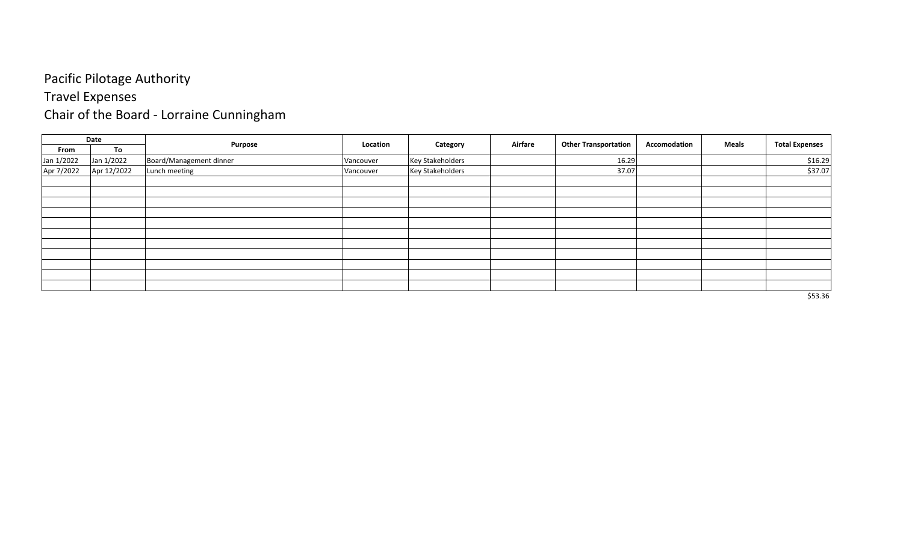### Travel Expenses

# Chair of the Board - Lorraine Cunningham

|            | Date        |                         | Location  |                         | Airfare | <b>Other Transportation</b> | Accomodation | <b>Meals</b> | <b>Total Expenses</b> |
|------------|-------------|-------------------------|-----------|-------------------------|---------|-----------------------------|--------------|--------------|-----------------------|
| From       | To          | Purpose                 |           | Category                |         |                             |              |              |                       |
| Jan 1/2022 | Jan 1/2022  | Board/Management dinner | Vancouver | <b>Key Stakeholders</b> |         | 16.29                       |              |              | \$16.29               |
| Apr 7/2022 | Apr 12/2022 | Lunch meeting           | Vancouver | <b>Key Stakeholders</b> |         | 37.07                       |              |              | \$37.07               |
|            |             |                         |           |                         |         |                             |              |              |                       |
|            |             |                         |           |                         |         |                             |              |              |                       |
|            |             |                         |           |                         |         |                             |              |              |                       |
|            |             |                         |           |                         |         |                             |              |              |                       |
|            |             |                         |           |                         |         |                             |              |              |                       |
|            |             |                         |           |                         |         |                             |              |              |                       |
|            |             |                         |           |                         |         |                             |              |              |                       |
|            |             |                         |           |                         |         |                             |              |              |                       |
|            |             |                         |           |                         |         |                             |              |              |                       |
|            |             |                         |           |                         |         |                             |              |              |                       |
|            |             |                         |           |                         |         |                             |              |              |                       |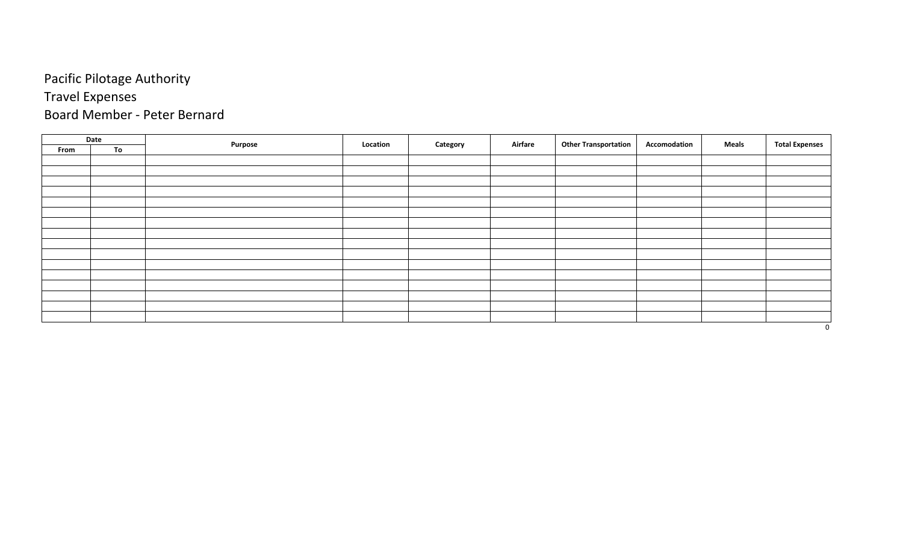# Travel Expenses

### Board Member - Peter Bernard

|      | Date |         | Location | Airfare  | <b>Other Transportation</b> | Accomodation | <b>Meals</b> | <b>Total Expenses</b> |
|------|------|---------|----------|----------|-----------------------------|--------------|--------------|-----------------------|
| From | To   | Purpose |          | Category |                             |              |              |                       |
|      |      |         |          |          |                             |              |              |                       |
|      |      |         |          |          |                             |              |              |                       |
|      |      |         |          |          |                             |              |              |                       |
|      |      |         |          |          |                             |              |              |                       |
|      |      |         |          |          |                             |              |              |                       |
|      |      |         |          |          |                             |              |              |                       |
|      |      |         |          |          |                             |              |              |                       |
|      |      |         |          |          |                             |              |              |                       |
|      |      |         |          |          |                             |              |              |                       |
|      |      |         |          |          |                             |              |              |                       |
|      |      |         |          |          |                             |              |              |                       |
|      |      |         |          |          |                             |              |              |                       |
|      |      |         |          |          |                             |              |              |                       |
|      |      |         |          |          |                             |              |              |                       |
|      |      |         |          |          |                             |              |              |                       |
|      |      |         |          |          |                             |              |              |                       |
|      |      |         |          |          |                             |              |              | $\mathsf{O}$          |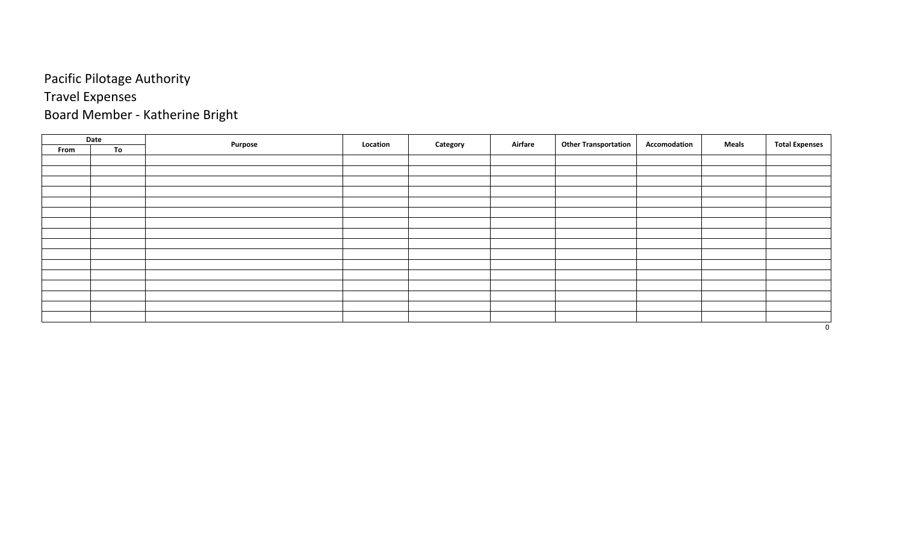# Travel Expenses

# Board Member - Katherine Bright

|      | Date | Purpose | Location | Category | Airfare | <b>Other Transportation</b> | Accomodation | <b>Meals</b> | <b>Total Expenses</b> |
|------|------|---------|----------|----------|---------|-----------------------------|--------------|--------------|-----------------------|
| From | To   |         |          |          |         |                             |              |              |                       |
|      |      |         |          |          |         |                             |              |              |                       |
|      |      |         |          |          |         |                             |              |              |                       |
|      |      |         |          |          |         |                             |              |              |                       |
|      |      |         |          |          |         |                             |              |              |                       |
|      |      |         |          |          |         |                             |              |              |                       |
|      |      |         |          |          |         |                             |              |              |                       |
|      |      |         |          |          |         |                             |              |              |                       |
|      |      |         |          |          |         |                             |              |              |                       |
|      |      |         |          |          |         |                             |              |              |                       |
|      |      |         |          |          |         |                             |              |              |                       |
|      |      |         |          |          |         |                             |              |              |                       |
|      |      |         |          |          |         |                             |              |              |                       |
|      |      |         |          |          |         |                             |              |              |                       |
|      |      |         |          |          |         |                             |              |              |                       |
|      |      |         |          |          |         |                             |              |              |                       |
|      |      |         |          |          |         |                             |              |              |                       |
|      |      |         |          |          |         |                             |              |              | 0                     |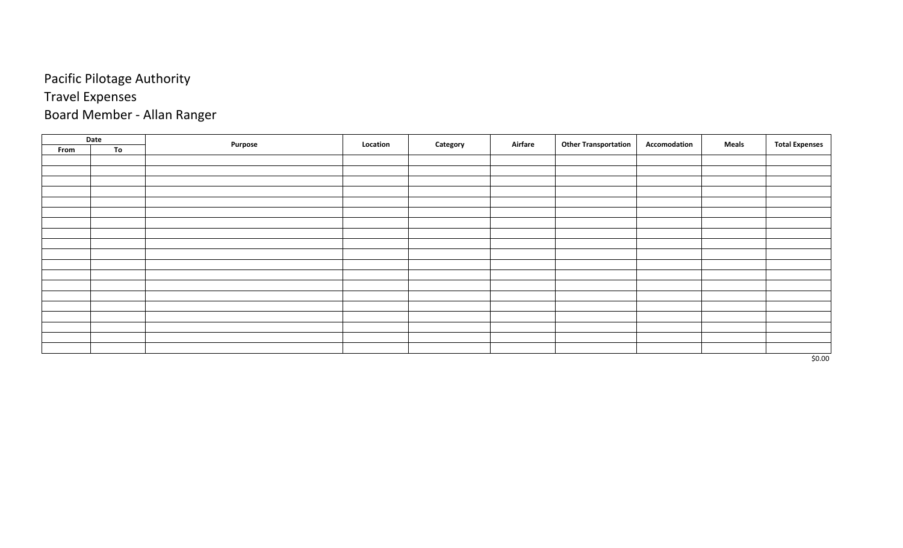#### Travel Expenses Board Member - Allan Ranger

|      | Date | Purpose | Location | Category | Airfare | <b>Other Transportation</b> | Accomodation | <b>Meals</b> | <b>Total Expenses</b> |
|------|------|---------|----------|----------|---------|-----------------------------|--------------|--------------|-----------------------|
| From | To   |         |          |          |         |                             |              |              |                       |
|      |      |         |          |          |         |                             |              |              |                       |
|      |      |         |          |          |         |                             |              |              |                       |
|      |      |         |          |          |         |                             |              |              |                       |
|      |      |         |          |          |         |                             |              |              |                       |
|      |      |         |          |          |         |                             |              |              |                       |
|      |      |         |          |          |         |                             |              |              |                       |
|      |      |         |          |          |         |                             |              |              |                       |
|      |      |         |          |          |         |                             |              |              |                       |
|      |      |         |          |          |         |                             |              |              |                       |
|      |      |         |          |          |         |                             |              |              |                       |
|      |      |         |          |          |         |                             |              |              |                       |
|      |      |         |          |          |         |                             |              |              |                       |
|      |      |         |          |          |         |                             |              |              |                       |
|      |      |         |          |          |         |                             |              |              |                       |
|      |      |         |          |          |         |                             |              |              |                       |
|      |      |         |          |          |         |                             |              |              |                       |
|      |      |         |          |          |         |                             |              |              |                       |
|      |      |         |          |          |         |                             |              |              |                       |
|      |      |         |          |          |         |                             |              |              |                       |
|      |      |         |          |          |         |                             |              |              | \$0.00                |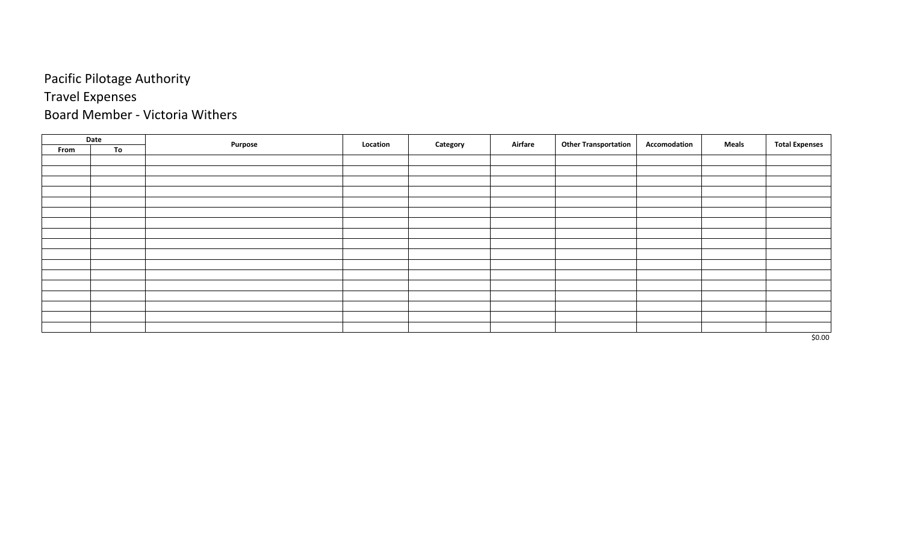### Travel Expenses

### Board Member - Victoria Withers

|      | Date |         | Location |          | <b>Airfare</b> | <b>Other Transportation</b> | Accomodation<br><b>Meals</b> | <b>Total Expenses</b> |
|------|------|---------|----------|----------|----------------|-----------------------------|------------------------------|-----------------------|
| From | To   | Purpose |          | Category |                |                             |                              |                       |
|      |      |         |          |          |                |                             |                              |                       |
|      |      |         |          |          |                |                             |                              |                       |
|      |      |         |          |          |                |                             |                              |                       |
|      |      |         |          |          |                |                             |                              |                       |
|      |      |         |          |          |                |                             |                              |                       |
|      |      |         |          |          |                |                             |                              |                       |
|      |      |         |          |          |                |                             |                              |                       |
|      |      |         |          |          |                |                             |                              |                       |
|      |      |         |          |          |                |                             |                              |                       |
|      |      |         |          |          |                |                             |                              |                       |
|      |      |         |          |          |                |                             |                              |                       |
|      |      |         |          |          |                |                             |                              |                       |
|      |      |         |          |          |                |                             |                              |                       |
|      |      |         |          |          |                |                             |                              |                       |
|      |      |         |          |          |                |                             |                              |                       |
|      |      |         |          |          |                |                             |                              |                       |
|      |      |         |          |          |                |                             |                              |                       |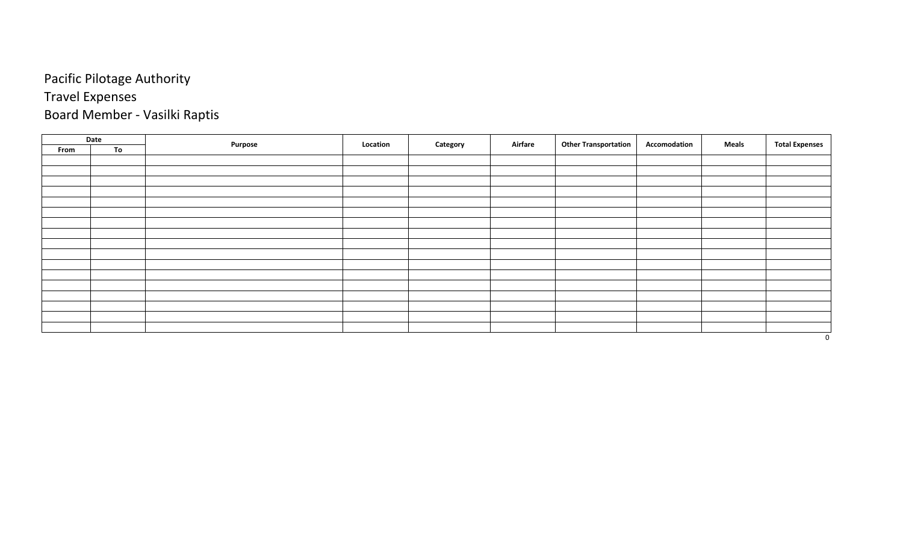### Travel Expenses Board Member - Vasilki Raptis

|      | Date | Purpose | Location | Category | <b>Airfare</b> | <b>Other Transportation</b> | Accomodation | <b>Meals</b> | <b>Total Expenses</b> |
|------|------|---------|----------|----------|----------------|-----------------------------|--------------|--------------|-----------------------|
| From | To   |         |          |          |                |                             |              |              |                       |
|      |      |         |          |          |                |                             |              |              |                       |
|      |      |         |          |          |                |                             |              |              |                       |
|      |      |         |          |          |                |                             |              |              |                       |
|      |      |         |          |          |                |                             |              |              |                       |
|      |      |         |          |          |                |                             |              |              |                       |
|      |      |         |          |          |                |                             |              |              |                       |
|      |      |         |          |          |                |                             |              |              |                       |
|      |      |         |          |          |                |                             |              |              |                       |
|      |      |         |          |          |                |                             |              |              |                       |
|      |      |         |          |          |                |                             |              |              |                       |
|      |      |         |          |          |                |                             |              |              |                       |
|      |      |         |          |          |                |                             |              |              |                       |
|      |      |         |          |          |                |                             |              |              |                       |
|      |      |         |          |          |                |                             |              |              |                       |
|      |      |         |          |          |                |                             |              |              |                       |
|      |      |         |          |          |                |                             |              |              |                       |
|      |      |         |          |          |                |                             |              |              |                       |

 $\overline{0}$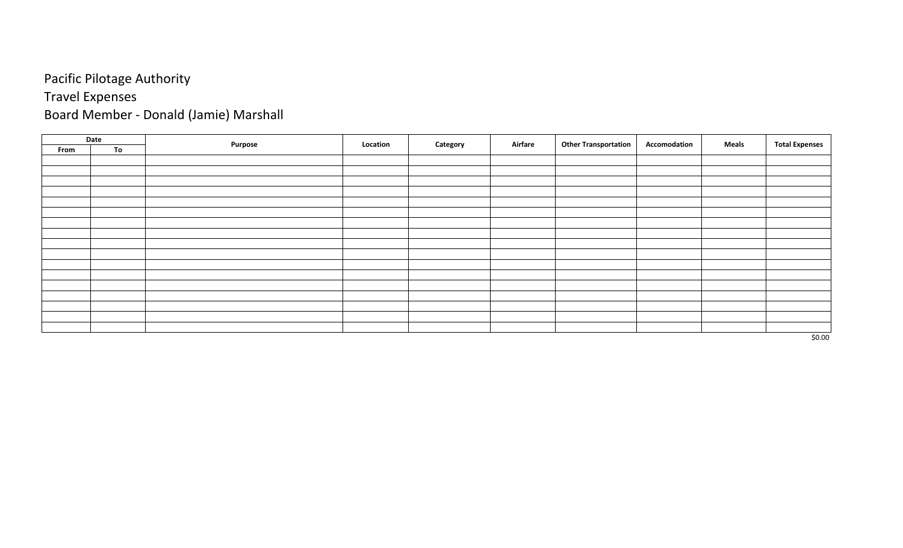Travel Expenses

Board Member - Donald (Jamie) Marshall

|      | Date | Purpose | Location |          | Airfare | <b>Other Transportation</b> | Accomodation | <b>Meals</b> | <b>Total Expenses</b> |
|------|------|---------|----------|----------|---------|-----------------------------|--------------|--------------|-----------------------|
| From | To   |         |          | Category |         |                             |              |              |                       |
|      |      |         |          |          |         |                             |              |              |                       |
|      |      |         |          |          |         |                             |              |              |                       |
|      |      |         |          |          |         |                             |              |              |                       |
|      |      |         |          |          |         |                             |              |              |                       |
|      |      |         |          |          |         |                             |              |              |                       |
|      |      |         |          |          |         |                             |              |              |                       |
|      |      |         |          |          |         |                             |              |              |                       |
|      |      |         |          |          |         |                             |              |              |                       |
|      |      |         |          |          |         |                             |              |              |                       |
|      |      |         |          |          |         |                             |              |              |                       |
|      |      |         |          |          |         |                             |              |              |                       |
|      |      |         |          |          |         |                             |              |              |                       |
|      |      |         |          |          |         |                             |              |              |                       |
|      |      |         |          |          |         |                             |              |              |                       |
|      |      |         |          |          |         |                             |              |              |                       |
|      |      |         |          |          |         |                             |              |              |                       |
|      |      |         |          |          |         |                             |              |              |                       |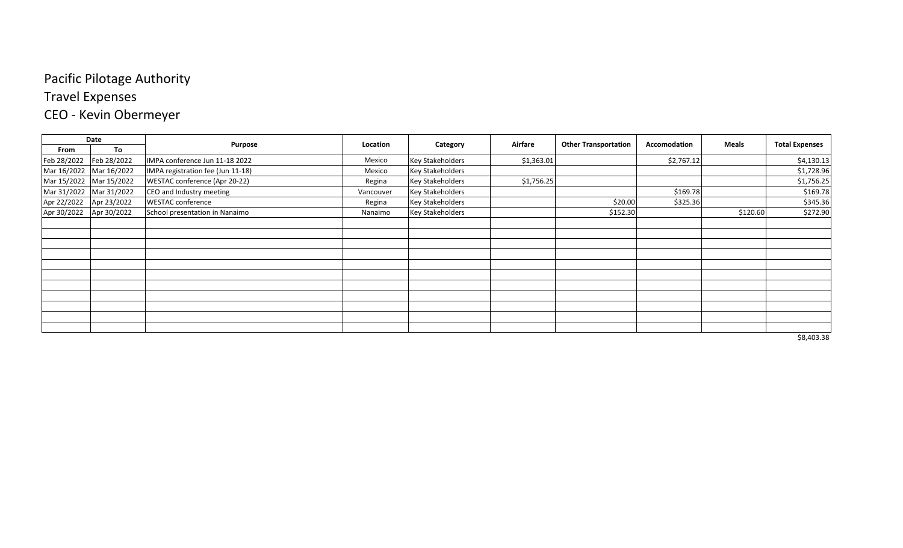### Travel Expenses

### CEO - Kevin Obermeyer

|                         | Date        |                                   | Location  |                         | Airfare    |                             | Accomodation | <b>Meals</b> | <b>Total Expenses</b> |
|-------------------------|-------------|-----------------------------------|-----------|-------------------------|------------|-----------------------------|--------------|--------------|-----------------------|
| From                    | To          | <b>Purpose</b>                    |           | Category                |            | <b>Other Transportation</b> |              |              |                       |
| Feb 28/2022             | Feb 28/2022 | IMPA conference Jun 11-18 2022    | Mexico    | <b>Key Stakeholders</b> | \$1,363.01 |                             | \$2,767.12   |              | \$4,130.13            |
| Mar 16/2022             | Mar 16/2022 | IMPA registration fee (Jun 11-18) | Mexico    | <b>Key Stakeholders</b> |            |                             |              |              | \$1,728.96            |
| Mar 15/2022 Mar 15/2022 |             | WESTAC conference (Apr 20-22)     | Regina    | <b>Key Stakeholders</b> | \$1,756.25 |                             |              |              | \$1,756.25            |
| Mar 31/2022 Mar 31/2022 |             | CEO and Industry meeting          | Vancouver | <b>Key Stakeholders</b> |            |                             | \$169.78     |              | \$169.78              |
| Apr 22/2022             | Apr 23/2022 | <b>WESTAC conference</b>          | Regina    | <b>Key Stakeholders</b> |            | \$20.00                     | \$325.36     |              | \$345.36              |
| Apr 30/2022             | Apr 30/2022 | School presentation in Nanaimo    | Nanaimo   | <b>Key Stakeholders</b> |            | \$152.30                    |              | \$120.60     | \$272.90              |
|                         |             |                                   |           |                         |            |                             |              |              |                       |
|                         |             |                                   |           |                         |            |                             |              |              |                       |
|                         |             |                                   |           |                         |            |                             |              |              |                       |
|                         |             |                                   |           |                         |            |                             |              |              |                       |
|                         |             |                                   |           |                         |            |                             |              |              |                       |
|                         |             |                                   |           |                         |            |                             |              |              |                       |
|                         |             |                                   |           |                         |            |                             |              |              |                       |
|                         |             |                                   |           |                         |            |                             |              |              |                       |
|                         |             |                                   |           |                         |            |                             |              |              |                       |
|                         |             |                                   |           |                         |            |                             |              |              |                       |
|                         |             |                                   |           |                         |            |                             |              |              |                       |

\$8,403.38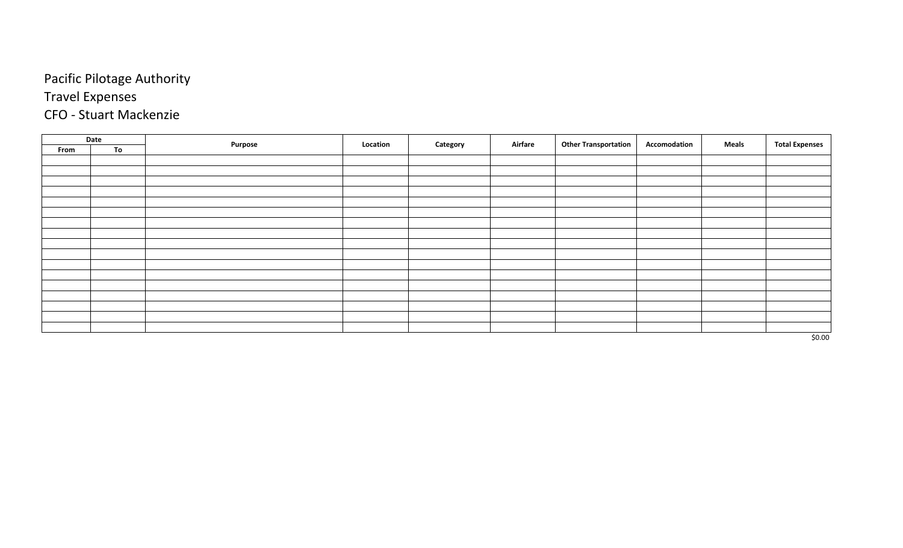# Travel Expenses

# CFO - Stuart Mackenzie

|      | Date | Purpose | Location |          | Airfare | <b>Other Transportation</b> | Accomodation<br><b>Meals</b> | <b>Total Expenses</b> |
|------|------|---------|----------|----------|---------|-----------------------------|------------------------------|-----------------------|
| From | To   |         |          | Category |         |                             |                              |                       |
|      |      |         |          |          |         |                             |                              |                       |
|      |      |         |          |          |         |                             |                              |                       |
|      |      |         |          |          |         |                             |                              |                       |
|      |      |         |          |          |         |                             |                              |                       |
|      |      |         |          |          |         |                             |                              |                       |
|      |      |         |          |          |         |                             |                              |                       |
|      |      |         |          |          |         |                             |                              |                       |
|      |      |         |          |          |         |                             |                              |                       |
|      |      |         |          |          |         |                             |                              |                       |
|      |      |         |          |          |         |                             |                              |                       |
|      |      |         |          |          |         |                             |                              |                       |
|      |      |         |          |          |         |                             |                              |                       |
|      |      |         |          |          |         |                             |                              |                       |
|      |      |         |          |          |         |                             |                              |                       |
|      |      |         |          |          |         |                             |                              |                       |
|      |      |         |          |          |         |                             |                              |                       |
|      |      |         |          |          |         |                             |                              |                       |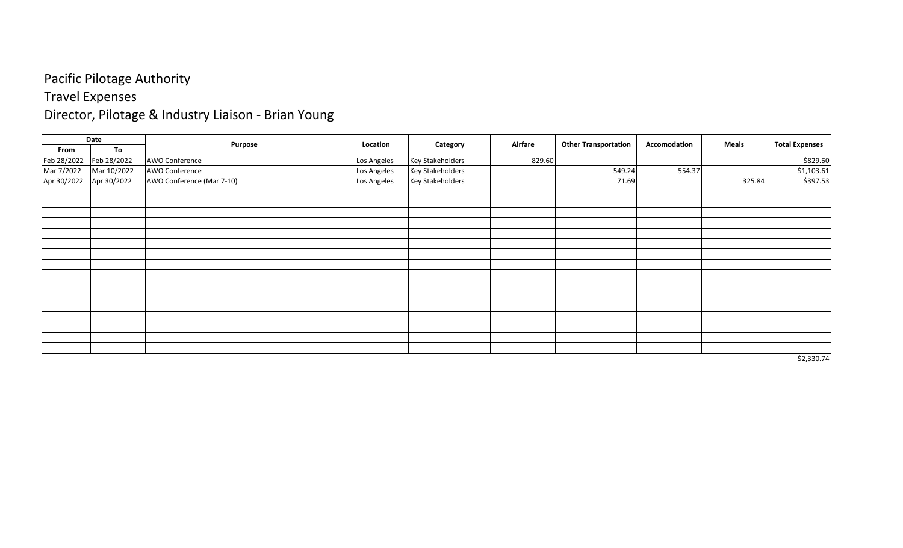#### Travel Expenses

### Director, Pilotage & Industry Liaison - Brian Young

|             | Date        |                           |             |                         | Airfare | <b>Other Transportation</b> | Accomodation | <b>Meals</b> | <b>Total Expenses</b> |
|-------------|-------------|---------------------------|-------------|-------------------------|---------|-----------------------------|--------------|--------------|-----------------------|
| From        | To          | Purpose                   | Location    | Category                |         |                             |              |              |                       |
| Feb 28/2022 | Feb 28/2022 | AWO Conference            | Los Angeles | <b>Key Stakeholders</b> | 829.60  |                             |              |              | \$829.60              |
| Mar 7/2022  | Mar 10/2022 | AWO Conference            | Los Angeles | <b>Key Stakeholders</b> |         | 549.24                      | 554.37       |              | \$1,103.61            |
| Apr 30/2022 | Apr 30/2022 | AWO Conference (Mar 7-10) | Los Angeles | <b>Key Stakeholders</b> |         | 71.69                       |              | 325.84       | \$397.53              |
|             |             |                           |             |                         |         |                             |              |              |                       |
|             |             |                           |             |                         |         |                             |              |              |                       |
|             |             |                           |             |                         |         |                             |              |              |                       |
|             |             |                           |             |                         |         |                             |              |              |                       |
|             |             |                           |             |                         |         |                             |              |              |                       |
|             |             |                           |             |                         |         |                             |              |              |                       |
|             |             |                           |             |                         |         |                             |              |              |                       |
|             |             |                           |             |                         |         |                             |              |              |                       |
|             |             |                           |             |                         |         |                             |              |              |                       |
|             |             |                           |             |                         |         |                             |              |              |                       |
|             |             |                           |             |                         |         |                             |              |              |                       |
|             |             |                           |             |                         |         |                             |              |              |                       |
|             |             |                           |             |                         |         |                             |              |              |                       |
|             |             |                           |             |                         |         |                             |              |              |                       |
|             |             |                           |             |                         |         |                             |              |              |                       |
|             |             |                           |             |                         |         |                             |              |              |                       |
|             |             |                           |             |                         |         |                             |              |              | \$2,330.74            |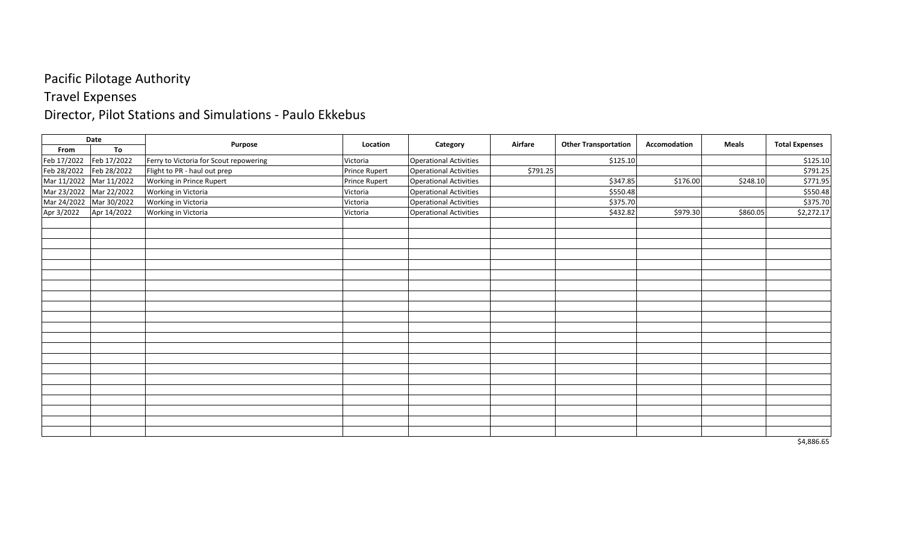#### Travel Expenses

# Director, Pilot Stations and Simulations - Paulo Ekkebus

|                         | Date        |                                        | Location             |                               | Airfare  | <b>Other Transportation</b> | Accomodation | <b>Meals</b> |                       |
|-------------------------|-------------|----------------------------------------|----------------------|-------------------------------|----------|-----------------------------|--------------|--------------|-----------------------|
| From                    | To          | Purpose                                |                      | Category                      |          |                             |              |              | <b>Total Expenses</b> |
| Feb 17/2022             | Feb 17/2022 | Ferry to Victoria for Scout repowering | Victoria             | <b>Operational Activities</b> |          | \$125.10                    |              |              | \$125.10              |
| Feb 28/2022             | Feb 28/2022 | Flight to PR - haul out prep           | Prince Rupert        | <b>Operational Activities</b> | \$791.25 |                             |              |              | \$791.25              |
| Mar 11/2022 Mar 11/2022 |             | Working in Prince Rupert               | <b>Prince Rupert</b> | <b>Operational Activities</b> |          | \$347.85                    | \$176.00     | \$248.10     | \$771.95              |
| Mar 23/2022 Mar 22/2022 |             | Working in Victoria                    | Victoria             | <b>Operational Activities</b> |          | \$550.48                    |              |              | \$550.48              |
| Mar 24/2022             | Mar 30/2022 | Working in Victoria                    | Victoria             | <b>Operational Activities</b> |          | \$375.70                    |              |              | \$375.70              |
| Apr 3/2022              | Apr 14/2022 | Working in Victoria                    | Victoria             | <b>Operational Activities</b> |          | \$432.82                    | \$979.30     | \$860.05     | \$2,272.17            |
|                         |             |                                        |                      |                               |          |                             |              |              |                       |
|                         |             |                                        |                      |                               |          |                             |              |              |                       |
|                         |             |                                        |                      |                               |          |                             |              |              |                       |
|                         |             |                                        |                      |                               |          |                             |              |              |                       |
|                         |             |                                        |                      |                               |          |                             |              |              |                       |
|                         |             |                                        |                      |                               |          |                             |              |              |                       |
|                         |             |                                        |                      |                               |          |                             |              |              |                       |
|                         |             |                                        |                      |                               |          |                             |              |              |                       |
|                         |             |                                        |                      |                               |          |                             |              |              |                       |
|                         |             |                                        |                      |                               |          |                             |              |              |                       |
|                         |             |                                        |                      |                               |          |                             |              |              |                       |
|                         |             |                                        |                      |                               |          |                             |              |              |                       |
|                         |             |                                        |                      |                               |          |                             |              |              |                       |
|                         |             |                                        |                      |                               |          |                             |              |              |                       |
|                         |             |                                        |                      |                               |          |                             |              |              |                       |
|                         |             |                                        |                      |                               |          |                             |              |              |                       |
|                         |             |                                        |                      |                               |          |                             |              |              |                       |
|                         |             |                                        |                      |                               |          |                             |              |              |                       |
|                         |             |                                        |                      |                               |          |                             |              |              |                       |
|                         |             |                                        |                      |                               |          |                             |              |              |                       |
|                         |             |                                        |                      |                               |          |                             |              |              |                       |
|                         |             |                                        |                      |                               |          |                             |              |              | \$4,886.65            |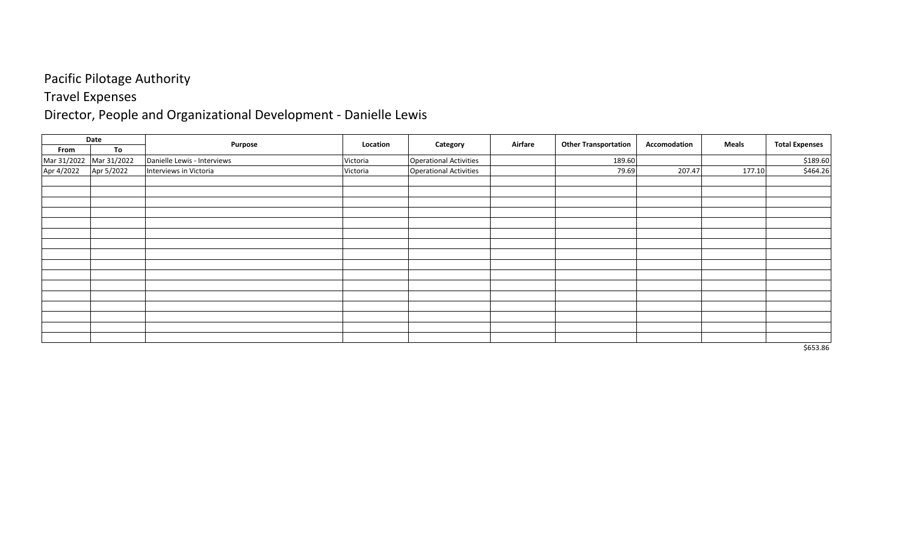#### Travel Expenses

### Director, People and Organizational Development - Danielle Lewis

|                         | Date       |                             | Location |                               | Airfare | <b>Other Transportation</b> | Accomodation | <b>Meals</b> |                       |
|-------------------------|------------|-----------------------------|----------|-------------------------------|---------|-----------------------------|--------------|--------------|-----------------------|
| From                    | To         | Purpose                     |          | Category                      |         |                             |              |              | <b>Total Expenses</b> |
| Mar 31/2022 Mar 31/2022 |            | Danielle Lewis - Interviews | Victoria | <b>Operational Activities</b> |         | 189.60                      |              |              | \$189.60              |
| Apr 4/2022              | Apr 5/2022 | Interviews in Victoria      | Victoria | <b>Operational Activities</b> |         | 79.69                       | 207.47       | 177.10       | \$464.26              |
|                         |            |                             |          |                               |         |                             |              |              |                       |
|                         |            |                             |          |                               |         |                             |              |              |                       |
|                         |            |                             |          |                               |         |                             |              |              |                       |
|                         |            |                             |          |                               |         |                             |              |              |                       |
|                         |            |                             |          |                               |         |                             |              |              |                       |
|                         |            |                             |          |                               |         |                             |              |              |                       |
|                         |            |                             |          |                               |         |                             |              |              |                       |
|                         |            |                             |          |                               |         |                             |              |              |                       |
|                         |            |                             |          |                               |         |                             |              |              |                       |
|                         |            |                             |          |                               |         |                             |              |              |                       |
|                         |            |                             |          |                               |         |                             |              |              |                       |
|                         |            |                             |          |                               |         |                             |              |              |                       |
|                         |            |                             |          |                               |         |                             |              |              |                       |
|                         |            |                             |          |                               |         |                             |              |              |                       |
|                         |            |                             |          |                               |         |                             |              |              |                       |
|                         |            |                             |          |                               |         |                             |              |              |                       |

\$653.86